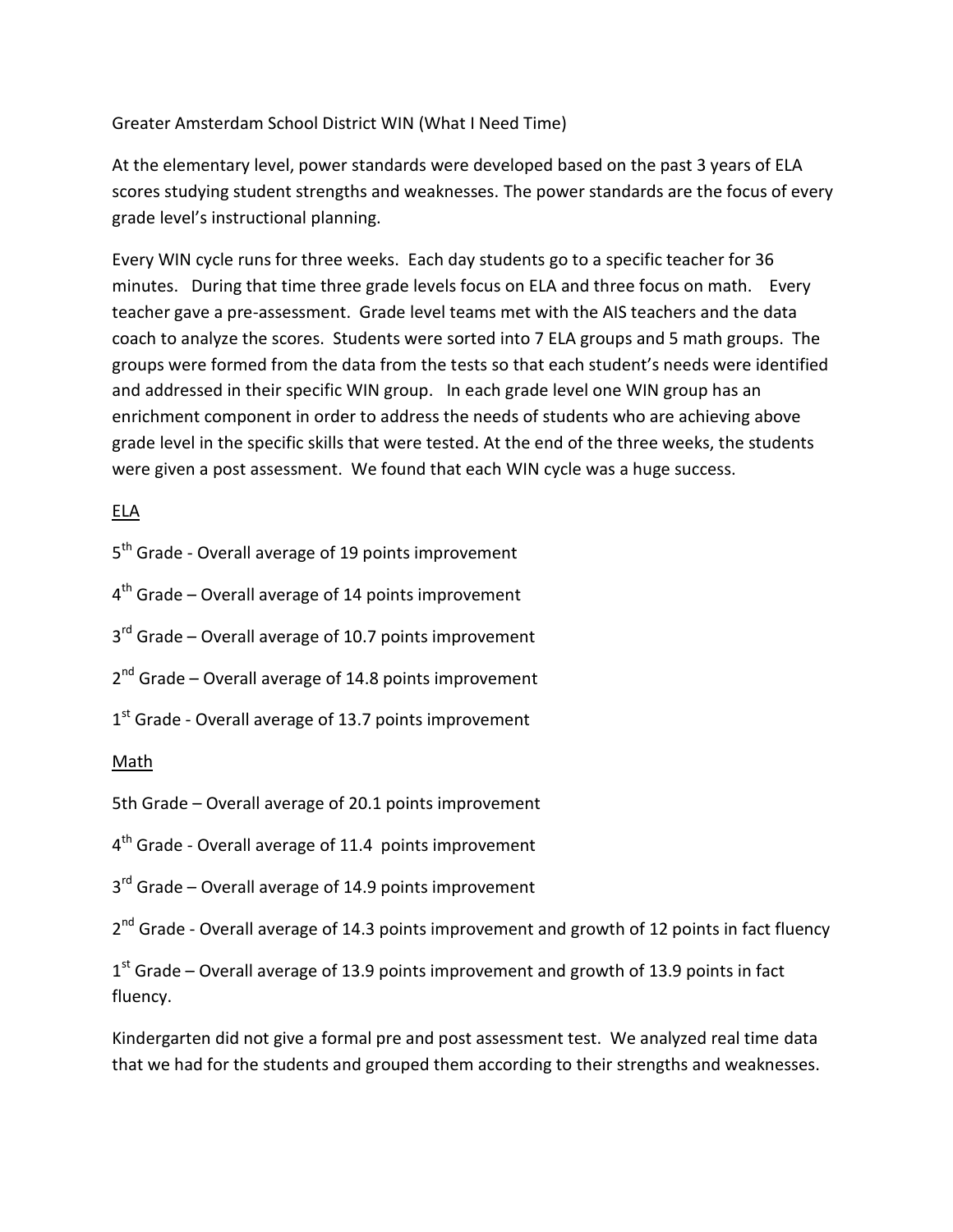Greater Amsterdam School District WIN (What I Need Time)

At the elementary level, power standards were developed based on the past 3 years of ELA scores studying student strengths and weaknesses. The power standards are the focus of every grade level's instructional planning.

Every WIN cycle runs for three weeks. Each day students go to a specific teacher for 36 minutes. During that time three grade levels focus on ELA and three focus on math. Every teacher gave a pre-assessment. Grade level teams met with the AIS teachers and the data coach to analyze the scores. Students were sorted into 7 ELA groups and 5 math groups. The groups were formed from the data from the tests so that each student's needs were identified and addressed in their specific WIN group. In each grade level one WIN group has an enrichment component in order to address the needs of students who are achieving above grade level in the specific skills that were tested. At the end of the three weeks, the students were given a post assessment. We found that each WIN cycle was a huge success.

## ELA

5<sup>th</sup> Grade - Overall average of 19 points improvement

4<sup>th</sup> Grade – Overall average of 14 points improvement

3<sup>rd</sup> Grade – Overall average of 10.7 points improvement

2<sup>nd</sup> Grade – Overall average of 14.8 points improvement

 $1<sup>st</sup>$  Grade - Overall average of 13.7 points improvement

## Math

5th Grade – Overall average of 20.1 points improvement

4<sup>th</sup> Grade - Overall average of 11.4 points improvement

3<sup>rd</sup> Grade – Overall average of 14.9 points improvement

2<sup>nd</sup> Grade - Overall average of 14.3 points improvement and growth of 12 points in fact fluency

 $1<sup>st</sup>$  Grade – Overall average of 13.9 points improvement and growth of 13.9 points in fact fluency.

Kindergarten did not give a formal pre and post assessment test. We analyzed real time data that we had for the students and grouped them according to their strengths and weaknesses.